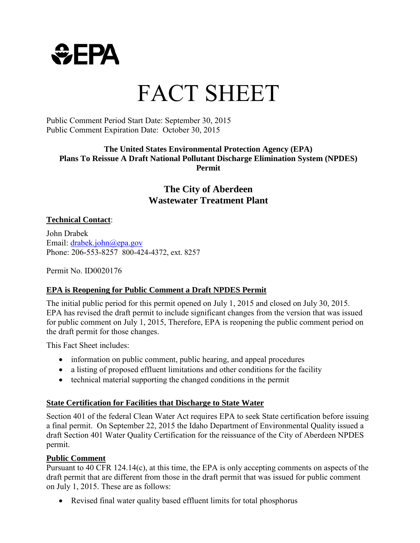

# FACT SHEET

#### Public Comment Period Start Date: September 30, 2015 Public Comment Expiration Date: October 30, 2015

#### **The United States Environmental Protection Agency (EPA) Plans To Reissue A Draft National Pollutant Discharge Elimination System (NPDES) Permit**

## **The City of Aberdeen Wastewater Treatment Plant**

#### **Technical Contact**:

John Drabek Email: drabek.john@epa.gov Phone: 206-553-8257 800-424-4372, ext. 8257

Permit No. ID0020176

#### **EPA is Reopening for Public Comment a Draft NPDES Permit**

The initial public period for this permit opened on July 1, 2015 and closed on July 30, 2015. EPA has revised the draft permit to include significant changes from the version that was issued for public comment on July 1, 2015, Therefore, EPA is reopening the public comment period on the draft permit for those changes.

This Fact Sheet includes:

- information on public comment, public hearing, and appeal procedures
- a listing of proposed effluent limitations and other conditions for the facility
- technical material supporting the changed conditions in the permit

#### **State Certification for Facilities that Discharge to State Water**

Section 401 of the federal Clean Water Act requires EPA to seek State certification before issuing a final permit. On September 22, 2015 the Idaho Department of Environmental Quality issued a draft Section 401 Water Quality Certification for the reissuance of the City of Aberdeen NPDES permit.

#### **Public Comment**

Pursuant to 40 CFR 124.14(c), at this time, the EPA is only accepting comments on aspects of the draft permit that are different from those in the draft permit that was issued for public comment on July 1, 2015. These are as follows:

• Revised final water quality based effluent limits for total phosphorus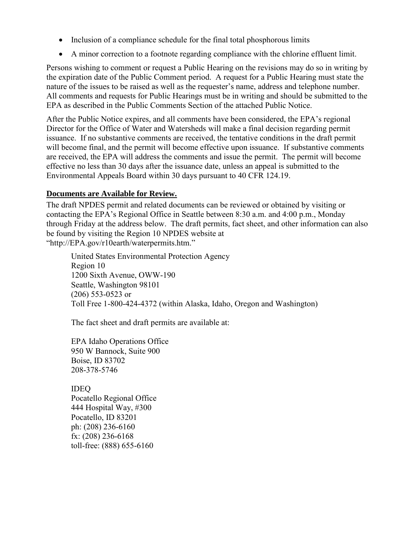- Inclusion of a compliance schedule for the final total phosphorous limits
- A minor correction to a footnote regarding compliance with the chlorine effluent limit.

Persons wishing to comment or request a Public Hearing on the revisions may do so in writing by the expiration date of the Public Comment period. A request for a Public Hearing must state the nature of the issues to be raised as well as the requester's name, address and telephone number. All comments and requests for Public Hearings must be in writing and should be submitted to the EPA as described in the Public Comments Section of the attached Public Notice.

After the Public Notice expires, and all comments have been considered, the EPA's regional Director for the Office of Water and Watersheds will make a final decision regarding permit issuance. If no substantive comments are received, the tentative conditions in the draft permit will become final, and the permit will become effective upon issuance. If substantive comments are received, the EPA will address the comments and issue the permit. The permit will become effective no less than 30 days after the issuance date, unless an appeal is submitted to the Environmental Appeals Board within 30 days pursuant to 40 CFR 124.19.

#### **Documents are Available for Review.**

The draft NPDES permit and related documents can be reviewed or obtained by visiting or contacting the EPA's Regional Office in Seattle between 8:30 a.m. and 4:00 p.m., Monday through Friday at the address below. The draft permits, fact sheet, and other information can also be found by visiting the Region 10 NPDES website at "http://EPA.gov/r10earth/waterpermits.htm."

 United States Environmental Protection Agency Region 10 1200 Sixth Avenue, OWW-190 Seattle, Washington 98101 (206) 553-0523 or Toll Free 1-800-424-4372 (within Alaska, Idaho, Oregon and Washington)

The fact sheet and draft permits are available at:

EPA Idaho Operations Office 950 W Bannock, Suite 900 Boise, ID 83702 208-378-5746

IDEQ

Pocatello Regional Office 444 Hospital Way, #300 Pocatello, ID 83201 ph: (208) 236-6160 fx: (208) 236-6168 toll-free: (888) 655-6160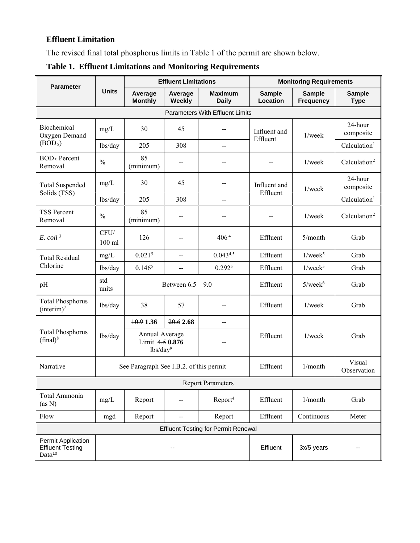### **Effluent Limitation**

The revised final total phosphorus limits in Table 1 of the permit are shown below.

| <b>Parameter</b>                                                    | <b>Units</b>     | <b>Effluent Limitations</b>                               |                   |                                | <b>Monitoring Requirements</b> |                                   |                              |  |  |  |  |
|---------------------------------------------------------------------|------------------|-----------------------------------------------------------|-------------------|--------------------------------|--------------------------------|-----------------------------------|------------------------------|--|--|--|--|
|                                                                     |                  | Average<br><b>Monthly</b>                                 | Average<br>Weekly | <b>Maximum</b><br><b>Daily</b> | <b>Sample</b><br>Location      | <b>Sample</b><br><b>Frequency</b> | <b>Sample</b><br><b>Type</b> |  |  |  |  |
| <b>Parameters With Effluent Limits</b>                              |                  |                                                           |                   |                                |                                |                                   |                              |  |  |  |  |
| Biochemical<br>Oxygen Demand<br>(BOD <sub>5</sub> )                 | mg/L             | 30                                                        | 45                | $- -$                          | Influent and<br>Effluent       | $1$ /week                         | 24-hour<br>composite         |  |  |  |  |
|                                                                     | lbs/day          | 205                                                       | 308               | $-$                            |                                |                                   | Calculation <sup>1</sup>     |  |  |  |  |
| <b>BOD</b> <sub>5</sub> Percent<br>Removal                          | $\frac{0}{0}$    | 85<br>(minimum)                                           |                   |                                |                                | $1$ /week                         | Calculation <sup>2</sup>     |  |  |  |  |
| <b>Total Suspended</b><br>Solids (TSS)                              | mg/L             | 30                                                        | 45                |                                | Influent and<br>Effluent       | $1$ /week                         | 24-hour<br>composite         |  |  |  |  |
|                                                                     | lbs/day          | 205                                                       | 308               | $\overline{a}$                 |                                |                                   | Calculation <sup>1</sup>     |  |  |  |  |
| <b>TSS Percent</b><br>Removal                                       | $\frac{0}{0}$    | 85<br>(minimum)                                           | --                |                                |                                | $1$ /week                         | Calculation <sup>2</sup>     |  |  |  |  |
| $E.$ coli <sup>3</sup>                                              | CFU/<br>$100$ ml | 126                                                       | $-$               | 406 <sup>4</sup>               | Effluent                       | 5/month                           | Grab                         |  |  |  |  |
| <b>Total Residual</b>                                               | mg/L             | 0.021 <sup>5</sup>                                        | $\overline{a}$    | $0.043^{4,5}$                  | Effluent                       | $1$ /week <sup>5</sup>            | Grab                         |  |  |  |  |
| Chlorine                                                            | lbs/day          | 0.146 <sup>5</sup>                                        | $\overline{a}$    | $0.292^{5}$                    | Effluent                       | $1$ /week $5$                     | Grab                         |  |  |  |  |
| pH                                                                  | std<br>units     | Between $6.5 - 9.0$                                       |                   |                                | Effluent                       | $5$ /week $6$                     | Grab                         |  |  |  |  |
| <b>Total Phosphorus</b><br>(interim) <sup>7</sup>                   | lbs/day          | 38                                                        | 57                |                                | Effluent                       | $1$ /week                         | Grab                         |  |  |  |  |
|                                                                     | lbs/day          | 10.91.36                                                  | 20.62.68          |                                |                                |                                   |                              |  |  |  |  |
| <b>Total Phosphorus</b><br>$(final)^8$                              |                  | Annual Average<br>Limit 4.5 0.876<br>lbs/day <sup>9</sup> |                   |                                | Effluent                       | $1$ /week                         | Grab                         |  |  |  |  |
| Narrative                                                           |                  | See Paragraph See I.B.2. of this permit                   |                   |                                | Effluent                       | 1/month                           | Visual<br>Observation        |  |  |  |  |
| <b>Report Parameters</b>                                            |                  |                                                           |                   |                                |                                |                                   |                              |  |  |  |  |
| Total Ammonia<br>(as N)                                             | mg/L             | Report                                                    | --                | Report <sup>4</sup>            | Effluent                       | 1/month                           | Grab                         |  |  |  |  |
| Flow                                                                | mgd              | Report                                                    | $\overline{a}$    | Report                         | Effluent                       | Continuous                        | Meter                        |  |  |  |  |
| <b>Effluent Testing for Permit Renewal</b>                          |                  |                                                           |                   |                                |                                |                                   |                              |  |  |  |  |
| Permit Application<br><b>Effluent Testing</b><br>Data <sup>10</sup> |                  |                                                           | --                |                                | Effluent                       | 3x/5 years                        | --                           |  |  |  |  |

**Table 1. Effluent Limitations and Monitoring Requirements**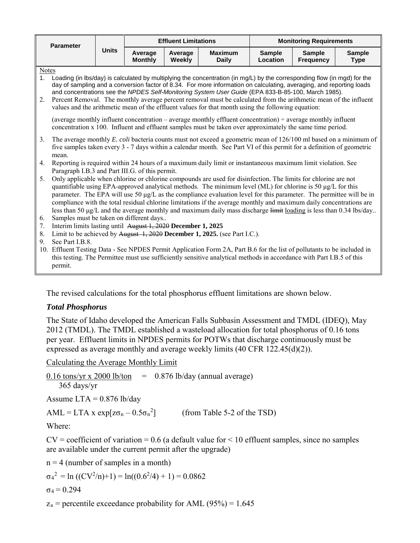| <b>Parameter</b>     | <b>Units</b>                                                                                                                                                                                                                                                                                                                                                                                                                                                                                                                                                                                                                                                       | <b>Effluent Limitations</b> |                   |                                | <b>Monitoring Requirements</b>                                                                                                                                                                                                                                                                                               |                                   |                              |  |  |  |
|----------------------|--------------------------------------------------------------------------------------------------------------------------------------------------------------------------------------------------------------------------------------------------------------------------------------------------------------------------------------------------------------------------------------------------------------------------------------------------------------------------------------------------------------------------------------------------------------------------------------------------------------------------------------------------------------------|-----------------------------|-------------------|--------------------------------|------------------------------------------------------------------------------------------------------------------------------------------------------------------------------------------------------------------------------------------------------------------------------------------------------------------------------|-----------------------------------|------------------------------|--|--|--|
|                      |                                                                                                                                                                                                                                                                                                                                                                                                                                                                                                                                                                                                                                                                    | Average<br><b>Monthly</b>   | Average<br>Weekly | <b>Maximum</b><br><b>Daily</b> | <b>Sample</b><br>Location                                                                                                                                                                                                                                                                                                    | <b>Sample</b><br><b>Frequency</b> | <b>Sample</b><br><b>Type</b> |  |  |  |
| 1 <sub>1</sub><br>2. | <b>Notes</b><br>Loading (in lbs/day) is calculated by multiplying the concentration (in mg/L) by the corresponding flow (in mgd) for the<br>day of sampling and a conversion factor of 8.34. For more information on calculating, averaging, and reporting loads<br>and concentrations see the NPDES Self-Monitoring System User Guide (EPA 833-B-85-100, March 1985).<br>Percent Removal. The monthly average percent removal must be calculated from the arithmetic mean of the influent<br>values and the arithmetic mean of the effluent values for that month using the following equation:                                                                   |                             |                   |                                |                                                                                                                                                                                                                                                                                                                              |                                   |                              |  |  |  |
|                      | (average monthly influent concentration – average monthly effluent concentration) $\div$ average monthly influent<br>concentration x 100. Influent and effluent samples must be taken over approximately the same time period.                                                                                                                                                                                                                                                                                                                                                                                                                                     |                             |                   |                                |                                                                                                                                                                                                                                                                                                                              |                                   |                              |  |  |  |
| 3.                   | The average monthly <i>E. coli</i> bacteria counts must not exceed a geometric mean of 126/100 ml based on a minimum of<br>five samples taken every 3 - 7 days within a calendar month. See Part VI of this permit for a definition of geometric<br>mean.                                                                                                                                                                                                                                                                                                                                                                                                          |                             |                   |                                |                                                                                                                                                                                                                                                                                                                              |                                   |                              |  |  |  |
| 4.                   | Reporting is required within 24 hours of a maximum daily limit or instantaneous maximum limit violation. See<br>Paragraph I.B.3 and Part III.G. of this permit.                                                                                                                                                                                                                                                                                                                                                                                                                                                                                                    |                             |                   |                                |                                                                                                                                                                                                                                                                                                                              |                                   |                              |  |  |  |
| 5.<br>6.             | Only applicable when chlorine or chlorine compounds are used for disinfection. The limits for chlorine are not<br>quantifiable using EPA-approved analytical methods. The minimum level (ML) for chlorine is 50 $\mu g/L$ for this<br>parameter. The EPA will use 50 µg/L as the compliance evaluation level for this parameter. The permittee will be in<br>compliance with the total residual chlorine limitations if the average monthly and maximum daily concentrations are<br>less than 50 $\mu$ g/L and the average monthly and maximum daily mass discharge $\frac{\mu}{\mu}$ loading is less than 0.34 lbs/day<br>Samples must be taken on different days |                             |                   |                                |                                                                                                                                                                                                                                                                                                                              |                                   |                              |  |  |  |
| 7.                   | Interim limits lasting until August 1, 2020 December 1, 2025                                                                                                                                                                                                                                                                                                                                                                                                                                                                                                                                                                                                       |                             |                   |                                |                                                                                                                                                                                                                                                                                                                              |                                   |                              |  |  |  |
| 8.<br>9.             | See Part I.B.8.<br>permit.                                                                                                                                                                                                                                                                                                                                                                                                                                                                                                                                                                                                                                         |                             |                   |                                | Limit to be achieved by August 1, 2020 December 1, 2025. (see Part I.C.).<br>10. Effluent Testing Data - See NPDES Permit Application Form 2A, Part B.6 for the list of pollutants to be included in<br>this testing. The Permittee must use sufficiently sensitive analytical methods in accordance with Part I.B.5 of this |                                   |                              |  |  |  |

The revised calculations for the total phosphorus effluent limitations are shown below.

#### *Total Phosphorus*

The State of Idaho developed the American Falls Subbasin Assessment and TMDL (IDEQ), May 2012 (TMDL). The TMDL established a wasteload allocation for total phosphorus of 0.16 tons per year. Effluent limits in NPDES permits for POTWs that discharge continuously must be expressed as average monthly and average weekly limits (40 CFR 122.45(d)(2)).

Calculating the Average Monthly Limit

0.16 tons/yr x 2000 lb/ton  $= 0.876$  lb/day (annual average) 365 days/yr

Assume  $LTA = 0.876$  lb/day

 $AML = LTA \times exp[z\sigma_n - 0.5\sigma_n^2]$ ] (from Table 5-2 of the TSD)

Where:

 $CV = coefficient of variation = 0.6$  (a default value for  $\leq 10$  effluent samples, since no samples are available under the current permit after the upgrade)

 $n = 4$  (number of samples in a month)

$$
\sigma_4^2 = \ln ((CV^2/n)+1) = \ln((0.6^2/4) + 1) = 0.0862
$$

$$
\sigma_4 = 0.294
$$

 $z_a$  = percentile exceedance probability for AML (95%) = 1.645